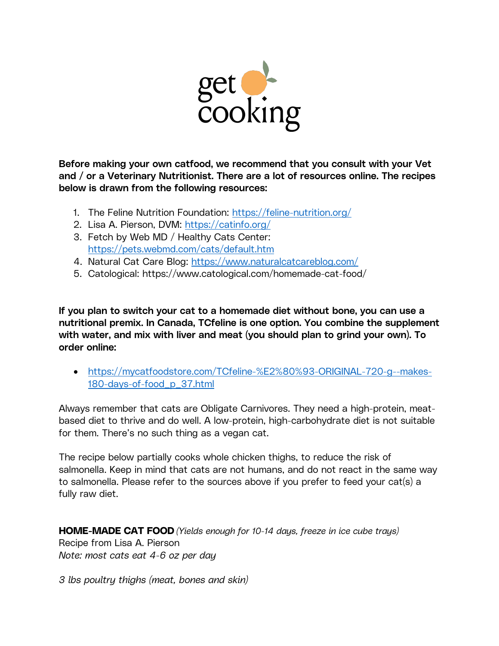

Before making your own catfood, we recommend that you consult with your Vet and / or a Veterinary Nutritionist. There are a lot of resources online. The recipes below is drawn from the following resources:

- 1. The Feline Nutrition Foundation: https://feline-nutrition.org/
- 2. Lisa A. Pierson, DVM: https://catinfo.org/
- 3. Fetch by Web MD / Healthy Cats Center: https://pets.webmd.com/cats/default.htm
- 4. Natural Cat Care Blog: https://www.naturalcatcareblog.com/
- 5. Catological: https://www.catological.com/homemade-cat-food/

If you plan to switch your cat to a homemade diet without bone, you can use a nutritional premix. In Canada, TCfeline is one option. You combine the supplement with water, and mix with liver and meat (you should plan to grind your own). To order online:

• https://mycatfoodstore.com/TCfeline-%E2%80%93-ORIGINAL-720-g--makes-180-days-of-food\_p\_37.html

Always remember that cats are Obligate Carnivores. They need a high-protein, meatbased diet to thrive and do well. A low-protein, high-carbohydrate diet is not suitable for them. There's no such thing as a vegan cat.

The recipe below partially cooks whole chicken thighs, to reduce the risk of salmonella. Keep in mind that cats are not humans, and do not react in the same way to salmonella. Please refer to the sources above if you prefer to feed your cat(s) a fully raw diet.

HOME-MADE CAT FOOD *(Yields enough for 10-14 days, freeze in ice cube trays)* Recipe from Lisa A. Pierson *Note: most cats eat 4-6 oz per day*

*3 lbs poultry thighs (meat, bones and skin)*